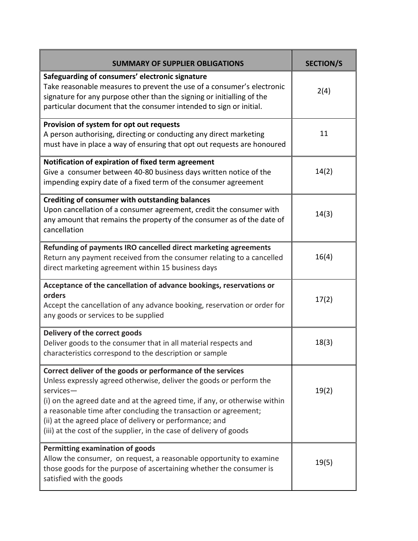| <b>SUMMARY OF SUPPLIER OBLIGATIONS</b>                                                                                                                                                                                                                                                                                                                                                                                               | <b>SECTION/S</b> |
|--------------------------------------------------------------------------------------------------------------------------------------------------------------------------------------------------------------------------------------------------------------------------------------------------------------------------------------------------------------------------------------------------------------------------------------|------------------|
| Safeguarding of consumers' electronic signature<br>Take reasonable measures to prevent the use of a consumer's electronic<br>signature for any purpose other than the signing or initialling of the<br>particular document that the consumer intended to sign or initial.                                                                                                                                                            | 2(4)             |
| Provision of system for opt out requests<br>A person authorising, directing or conducting any direct marketing<br>must have in place a way of ensuring that opt out requests are honoured                                                                                                                                                                                                                                            | 11               |
| Notification of expiration of fixed term agreement<br>Give a consumer between 40-80 business days written notice of the<br>impending expiry date of a fixed term of the consumer agreement                                                                                                                                                                                                                                           | 14(2)            |
| Crediting of consumer with outstanding balances<br>Upon cancellation of a consumer agreement, credit the consumer with<br>any amount that remains the property of the consumer as of the date of<br>cancellation                                                                                                                                                                                                                     | 14(3)            |
| Refunding of payments IRO cancelled direct marketing agreements<br>Return any payment received from the consumer relating to a cancelled<br>direct marketing agreement within 15 business days                                                                                                                                                                                                                                       | 16(4)            |
| Acceptance of the cancellation of advance bookings, reservations or<br>orders<br>Accept the cancellation of any advance booking, reservation or order for<br>any goods or services to be supplied                                                                                                                                                                                                                                    | 17(2)            |
| Delivery of the correct goods<br>Deliver goods to the consumer that in all material respects and<br>characteristics correspond to the description or sample                                                                                                                                                                                                                                                                          | 18(3)            |
| Correct deliver of the goods or performance of the services<br>Unless expressly agreed otherwise, deliver the goods or perform the<br>services-<br>(i) on the agreed date and at the agreed time, if any, or otherwise within<br>a reasonable time after concluding the transaction or agreement;<br>(ii) at the agreed place of delivery or performance; and<br>(iii) at the cost of the supplier, in the case of delivery of goods | 19(2)            |
| Permitting examination of goods<br>Allow the consumer, on request, a reasonable opportunity to examine<br>those goods for the purpose of ascertaining whether the consumer is<br>satisfied with the goods                                                                                                                                                                                                                            | 19(5)            |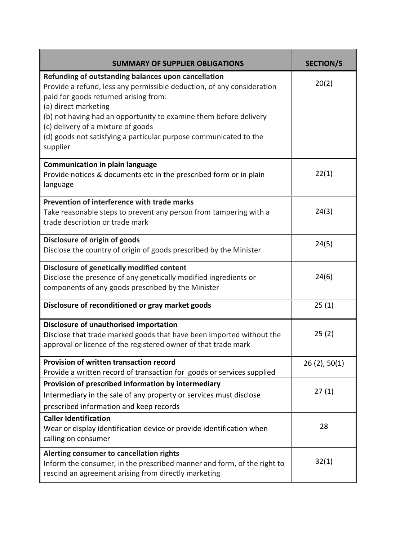| <b>SUMMARY OF SUPPLIER OBLIGATIONS</b>                                                                                                                                                                                                                                                                                                                                                     | <b>SECTION/S</b> |
|--------------------------------------------------------------------------------------------------------------------------------------------------------------------------------------------------------------------------------------------------------------------------------------------------------------------------------------------------------------------------------------------|------------------|
| Refunding of outstanding balances upon cancellation<br>Provide a refund, less any permissible deduction, of any consideration<br>paid for goods returned arising from:<br>(a) direct marketing<br>(b) not having had an opportunity to examine them before delivery<br>(c) delivery of a mixture of goods<br>(d) goods not satisfying a particular purpose communicated to the<br>supplier | 20(2)            |
| <b>Communication in plain language</b><br>Provide notices & documents etc in the prescribed form or in plain<br>language                                                                                                                                                                                                                                                                   | 22(1)            |
| Prevention of interference with trade marks<br>Take reasonable steps to prevent any person from tampering with a<br>trade description or trade mark                                                                                                                                                                                                                                        | 24(3)            |
| Disclosure of origin of goods<br>Disclose the country of origin of goods prescribed by the Minister                                                                                                                                                                                                                                                                                        | 24(5)            |
| Disclosure of genetically modified content<br>Disclose the presence of any genetically modified ingredients or<br>components of any goods prescribed by the Minister                                                                                                                                                                                                                       | 24(6)            |
| Disclosure of reconditioned or gray market goods                                                                                                                                                                                                                                                                                                                                           | 25(1)            |
| <b>Disclosure of unauthorised importation</b><br>Disclose that trade marked goods that have been imported without the<br>approval or licence of the registered owner of that trade mark                                                                                                                                                                                                    | 25(2)            |
| Provision of written transaction record<br>Provide a written record of transaction for goods or services supplied                                                                                                                                                                                                                                                                          | 26(2), 50(1)     |
| Provision of prescribed information by intermediary<br>Intermediary in the sale of any property or services must disclose<br>prescribed information and keep records                                                                                                                                                                                                                       | 27(1)            |
| <b>Caller Identification</b><br>Wear or display identification device or provide identification when<br>calling on consumer                                                                                                                                                                                                                                                                | 28               |
| Alerting consumer to cancellation rights<br>Inform the consumer, in the prescribed manner and form, of the right to<br>rescind an agreement arising from directly marketing                                                                                                                                                                                                                | 32(1)            |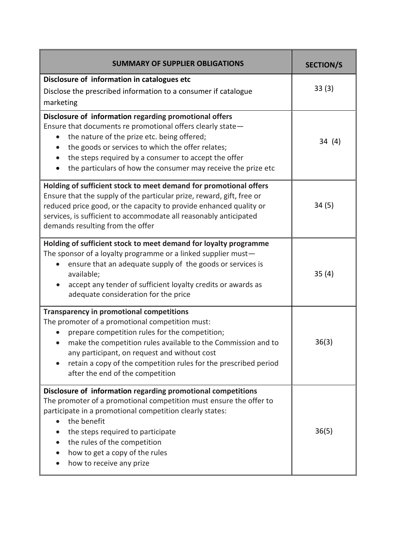| <b>SUMMARY OF SUPPLIER OBLIGATIONS</b>                                                                                                                                                                                                                                                                                                                                                     | <b>SECTION/S</b> |
|--------------------------------------------------------------------------------------------------------------------------------------------------------------------------------------------------------------------------------------------------------------------------------------------------------------------------------------------------------------------------------------------|------------------|
| Disclosure of information in catalogues etc<br>Disclose the prescribed information to a consumer if catalogue<br>marketing                                                                                                                                                                                                                                                                 | 33(3)            |
| Disclosure of information regarding promotional offers<br>Ensure that documents re promotional offers clearly state-<br>the nature of the prize etc. being offered;<br>the goods or services to which the offer relates;<br>$\bullet$<br>the steps required by a consumer to accept the offer<br>the particulars of how the consumer may receive the prize etc<br>$\bullet$                | 34(4)            |
| Holding of sufficient stock to meet demand for promotional offers<br>Ensure that the supply of the particular prize, reward, gift, free or<br>reduced price good, or the capacity to provide enhanced quality or<br>services, is sufficient to accommodate all reasonably anticipated<br>demands resulting from the offer                                                                  | 34(5)            |
| Holding of sufficient stock to meet demand for loyalty programme<br>The sponsor of a loyalty programme or a linked supplier must-<br>ensure that an adequate supply of the goods or services is<br>$\bullet$<br>available;<br>accept any tender of sufficient loyalty credits or awards as<br>adequate consideration for the price                                                         | 35(4)            |
| <b>Transparency in promotional competitions</b><br>The promoter of a promotional competition must:<br>prepare competition rules for the competition;<br>$\bullet$<br>make the competition rules available to the Commission and to<br>any participant, on request and without cost<br>retain a copy of the competition rules for the prescribed period<br>after the end of the competition | 36(3)            |
| Disclosure of information regarding promotional competitions<br>The promoter of a promotional competition must ensure the offer to<br>participate in a promotional competition clearly states:<br>the benefit<br>the steps required to participate<br>the rules of the competition<br>how to get a copy of the rules<br>how to receive any prize                                           | 36(5)            |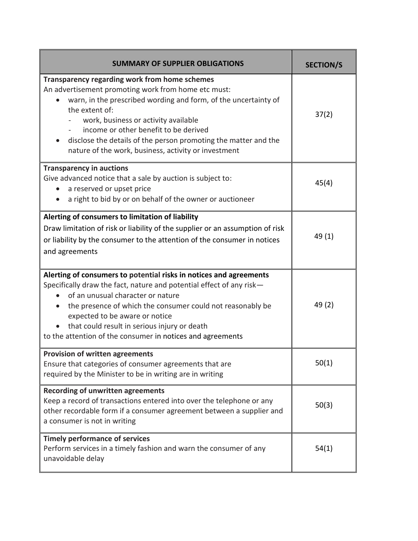| <b>SUMMARY OF SUPPLIER OBLIGATIONS</b>                                                                                                                                                                                                                                                                                                                                                                                    | <b>SECTION/S</b> |
|---------------------------------------------------------------------------------------------------------------------------------------------------------------------------------------------------------------------------------------------------------------------------------------------------------------------------------------------------------------------------------------------------------------------------|------------------|
| <b>Transparency regarding work from home schemes</b><br>An advertisement promoting work from home etc must:<br>warn, in the prescribed wording and form, of the uncertainty of<br>the extent of:<br>work, business or activity available<br>income or other benefit to be derived<br>disclose the details of the person promoting the matter and the<br>$\bullet$<br>nature of the work, business, activity or investment | 37(2)            |
| <b>Transparency in auctions</b><br>Give advanced notice that a sale by auction is subject to:<br>a reserved or upset price<br>a right to bid by or on behalf of the owner or auctioneer                                                                                                                                                                                                                                   | 45(4)            |
| Alerting of consumers to limitation of liability<br>Draw limitation of risk or liability of the supplier or an assumption of risk<br>or liability by the consumer to the attention of the consumer in notices<br>and agreements                                                                                                                                                                                           | 49(1)            |
| Alerting of consumers to potential risks in notices and agreements<br>Specifically draw the fact, nature and potential effect of any risk-<br>of an unusual character or nature<br>the presence of which the consumer could not reasonably be<br>expected to be aware or notice<br>that could result in serious injury or death<br>to the attention of the consumer in notices and agreements                             | 49 (2)           |
| <b>Provision of written agreements</b><br>Ensure that categories of consumer agreements that are<br>required by the Minister to be in writing are in writing                                                                                                                                                                                                                                                              | 50(1)            |
| <b>Recording of unwritten agreements</b><br>Keep a record of transactions entered into over the telephone or any<br>other recordable form if a consumer agreement between a supplier and<br>a consumer is not in writing                                                                                                                                                                                                  | 50(3)            |
| <b>Timely performance of services</b><br>Perform services in a timely fashion and warn the consumer of any<br>unavoidable delay                                                                                                                                                                                                                                                                                           | 54(1)            |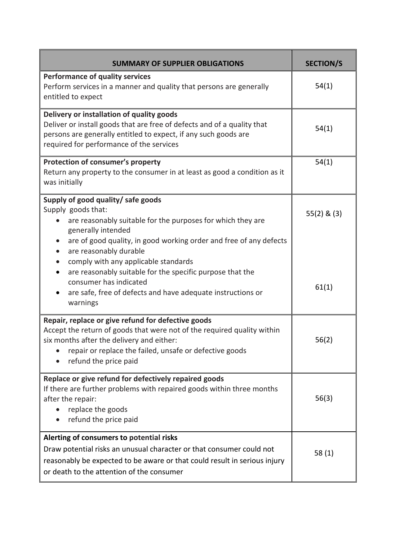| <b>SUMMARY OF SUPPLIER OBLIGATIONS</b>                                                                                                                                                                                                                         | <b>SECTION/S</b> |
|----------------------------------------------------------------------------------------------------------------------------------------------------------------------------------------------------------------------------------------------------------------|------------------|
| <b>Performance of quality services</b><br>Perform services in a manner and quality that persons are generally<br>entitled to expect                                                                                                                            | 54(1)            |
| Delivery or installation of quality goods<br>Deliver or install goods that are free of defects and of a quality that<br>persons are generally entitled to expect, if any such goods are<br>required for performance of the services                            | 54(1)            |
| Protection of consumer's property<br>Return any property to the consumer in at least as good a condition as it<br>was initially                                                                                                                                | 54(1)            |
| Supply of good quality/ safe goods<br>Supply goods that:<br>are reasonably suitable for the purposes for which they are<br>generally intended<br>are of good quality, in good working order and free of any defects<br>are reasonably durable                  | $55(2)$ & $(3)$  |
| comply with any applicable standards<br>are reasonably suitable for the specific purpose that the<br>consumer has indicated<br>are safe, free of defects and have adequate instructions or<br>warnings                                                         | 61(1)            |
| Repair, replace or give refund for defective goods<br>Accept the return of goods that were not of the required quality within<br>six months after the delivery and either:<br>repair or replace the failed, unsafe or defective goods<br>refund the price paid | 56(2)            |
| Replace or give refund for defectively repaired goods<br>If there are further problems with repaired goods within three months<br>after the repair:<br>replace the goods<br>refund the price paid                                                              | 56(3)            |
| Alerting of consumers to potential risks<br>Draw potential risks an unusual character or that consumer could not<br>reasonably be expected to be aware or that could result in serious injury<br>or death to the attention of the consumer                     | 58(1)            |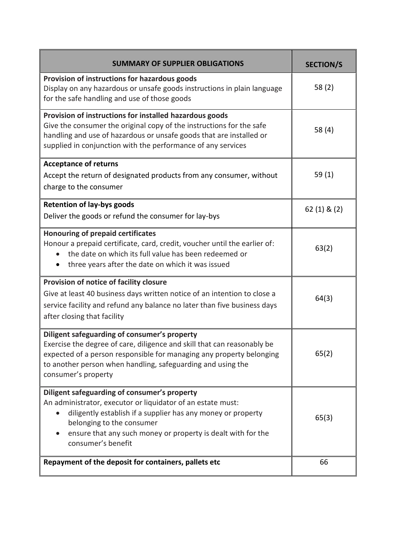| <b>SUMMARY OF SUPPLIER OBLIGATIONS</b>                                                                                                                                                                                                                                                         | <b>SECTION/S</b> |
|------------------------------------------------------------------------------------------------------------------------------------------------------------------------------------------------------------------------------------------------------------------------------------------------|------------------|
| Provision of instructions for hazardous goods<br>Display on any hazardous or unsafe goods instructions in plain language<br>for the safe handling and use of those goods                                                                                                                       | 58(2)            |
| Provision of instructions for installed hazardous goods<br>Give the consumer the original copy of the instructions for the safe<br>handling and use of hazardous or unsafe goods that are installed or<br>supplied in conjunction with the performance of any services                         | 58 (4)           |
| <b>Acceptance of returns</b><br>Accept the return of designated products from any consumer, without<br>charge to the consumer                                                                                                                                                                  | 59 $(1)$         |
| <b>Retention of lay-bys goods</b><br>Deliver the goods or refund the consumer for lay-bys                                                                                                                                                                                                      | $62(1)$ & $(2)$  |
| <b>Honouring of prepaid certificates</b><br>Honour a prepaid certificate, card, credit, voucher until the earlier of:<br>the date on which its full value has been redeemed or<br>three years after the date on which it was issued                                                            | 63(2)            |
| Provision of notice of facility closure<br>Give at least 40 business days written notice of an intention to close a<br>service facility and refund any balance no later than five business days<br>after closing that facility                                                                 | 64(3)            |
| Diligent safeguarding of consumer's property<br>Exercise the degree of care, diligence and skill that can reasonably be<br>expected of a person responsible for managing any property belonging<br>to another person when handling, safeguarding and using the<br>consumer's property          | 65(2)            |
| Diligent safeguarding of consumer's property<br>An administrator, executor or liquidator of an estate must:<br>diligently establish if a supplier has any money or property<br>belonging to the consumer<br>ensure that any such money or property is dealt with for the<br>consumer's benefit | 65(3)            |
| Repayment of the deposit for containers, pallets etc                                                                                                                                                                                                                                           | 66               |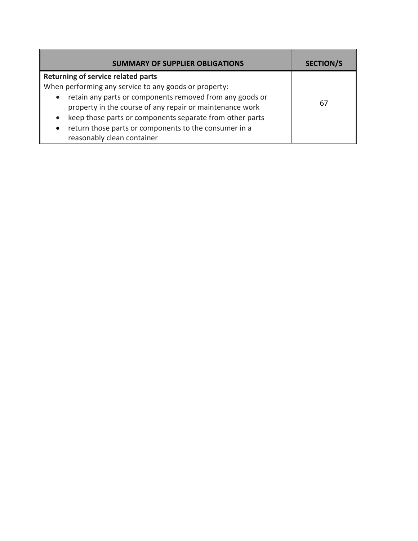| <b>SUMMARY OF SUPPLIER OBLIGATIONS</b>                                | <b>SECTION/S</b> |
|-----------------------------------------------------------------------|------------------|
| <b>Returning of service related parts</b>                             |                  |
| When performing any service to any goods or property:                 |                  |
| retain any parts or components removed from any goods or<br>$\bullet$ |                  |
| property in the course of any repair or maintenance work              | 67               |
| keep those parts or components separate from other parts<br>$\bullet$ |                  |
| return those parts or components to the consumer in a<br>$\bullet$    |                  |
| reasonably clean container                                            |                  |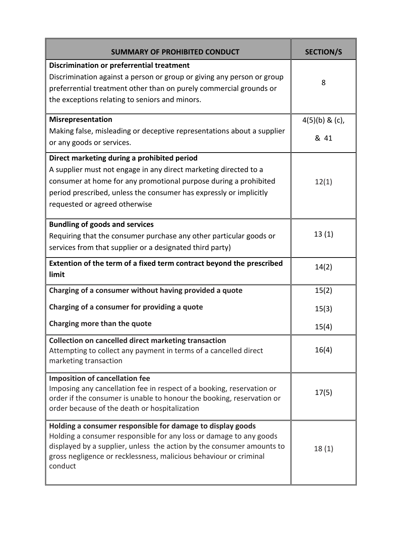| <b>SUMMARY OF PROHIBITED CONDUCT</b>                                                                                                                                                                                                                                                       | <b>SECTION/S</b>         |
|--------------------------------------------------------------------------------------------------------------------------------------------------------------------------------------------------------------------------------------------------------------------------------------------|--------------------------|
| Discrimination or preferrential treatment<br>Discrimination against a person or group or giving any person or group<br>preferrential treatment other than on purely commercial grounds or<br>the exceptions relating to seniors and minors.                                                | 8                        |
| Misrepresentation<br>Making false, misleading or deceptive representations about a supplier<br>or any goods or services.                                                                                                                                                                   | $4(5)(b)$ & (c),<br>& 41 |
| Direct marketing during a prohibited period<br>A supplier must not engage in any direct marketing directed to a<br>consumer at home for any promotional purpose during a prohibited<br>period prescribed, unless the consumer has expressly or implicitly<br>requested or agreed otherwise | 12(1)                    |
| <b>Bundling of goods and services</b><br>Requiring that the consumer purchase any other particular goods or<br>services from that supplier or a designated third party)                                                                                                                    | 13(1)                    |
| Extention of the term of a fixed term contract beyond the prescribed<br>limit                                                                                                                                                                                                              | 14(2)                    |
| Charging of a consumer without having provided a quote                                                                                                                                                                                                                                     | 15(2)                    |
| Charging of a consumer for providing a quote                                                                                                                                                                                                                                               | 15(3)                    |
| Charging more than the quote                                                                                                                                                                                                                                                               | 15(4)                    |
| <b>Collection on cancelled direct marketing transaction</b><br>Attempting to collect any payment in terms of a cancelled direct<br>marketing transaction                                                                                                                                   | 16(4)                    |
| <b>Imposition of cancellation fee</b><br>Imposing any cancellation fee in respect of a booking, reservation or<br>order if the consumer is unable to honour the booking, reservation or<br>order because of the death or hospitalization                                                   | 17(5)                    |
| Holding a consumer responsible for damage to display goods<br>Holding a consumer responsible for any loss or damage to any goods<br>displayed by a supplier, unless the action by the consumer amounts to<br>gross negligence or recklessness, malicious behaviour or criminal<br>conduct  | 18(1)                    |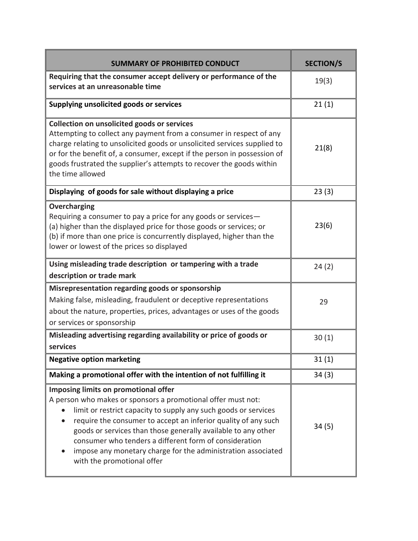| <b>SUMMARY OF PROHIBITED CONDUCT</b>                                                                                                                                                                                                                                                                                                                                                                                                                                            | <b>SECTION/S</b> |
|---------------------------------------------------------------------------------------------------------------------------------------------------------------------------------------------------------------------------------------------------------------------------------------------------------------------------------------------------------------------------------------------------------------------------------------------------------------------------------|------------------|
| Requiring that the consumer accept delivery or performance of the<br>services at an unreasonable time                                                                                                                                                                                                                                                                                                                                                                           | 19(3)            |
| Supplying unsolicited goods or services                                                                                                                                                                                                                                                                                                                                                                                                                                         | 21(1)            |
| Collection on unsolicited goods or services<br>Attempting to collect any payment from a consumer in respect of any<br>charge relating to unsolicited goods or unsolicited services supplied to<br>or for the benefit of, a consumer, except if the person in possession of<br>goods frustrated the supplier's attempts to recover the goods within<br>the time allowed                                                                                                          | 21(8)            |
| Displaying of goods for sale without displaying a price                                                                                                                                                                                                                                                                                                                                                                                                                         | 23(3)            |
| Overcharging<br>Requiring a consumer to pay a price for any goods or services-<br>(a) higher than the displayed price for those goods or services; or<br>(b) if more than one price is concurrently displayed, higher than the<br>lower or lowest of the prices so displayed                                                                                                                                                                                                    | 23(6)            |
| Using misleading trade description or tampering with a trade<br>description or trade mark                                                                                                                                                                                                                                                                                                                                                                                       | 24(2)            |
| Misrepresentation regarding goods or sponsorship<br>Making false, misleading, fraudulent or deceptive representations<br>about the nature, properties, prices, advantages or uses of the goods<br>or services or sponsorship                                                                                                                                                                                                                                                    | 29               |
| Misleading advertising regarding availability or price of goods or<br>services                                                                                                                                                                                                                                                                                                                                                                                                  | 30(1)            |
| <b>Negative option marketing</b>                                                                                                                                                                                                                                                                                                                                                                                                                                                | 31(1)            |
| Making a promotional offer with the intention of not fulfilling it                                                                                                                                                                                                                                                                                                                                                                                                              | 34(3)            |
| Imposing limits on promotional offer<br>A person who makes or sponsors a promotional offer must not:<br>limit or restrict capacity to supply any such goods or services<br>require the consumer to accept an inferior quality of any such<br>$\bullet$<br>goods or services than those generally available to any other<br>consumer who tenders a different form of consideration<br>impose any monetary charge for the administration associated<br>with the promotional offer | 34(5)            |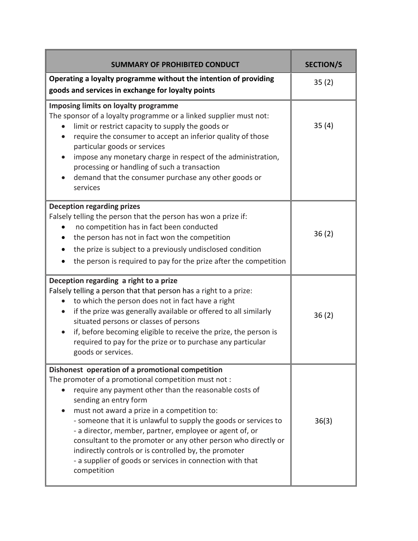| <b>SUMMARY OF PROHIBITED CONDUCT</b>                                                                                                                                                                                                                                                                                                                                                                                                                                                                                                                                            | <b>SECTION/S</b> |
|---------------------------------------------------------------------------------------------------------------------------------------------------------------------------------------------------------------------------------------------------------------------------------------------------------------------------------------------------------------------------------------------------------------------------------------------------------------------------------------------------------------------------------------------------------------------------------|------------------|
| Operating a loyalty programme without the intention of providing<br>goods and services in exchange for loyalty points                                                                                                                                                                                                                                                                                                                                                                                                                                                           | 35(2)            |
| <b>Imposing limits on loyalty programme</b><br>The sponsor of a loyalty programme or a linked supplier must not:<br>limit or restrict capacity to supply the goods or<br>$\bullet$<br>require the consumer to accept an inferior quality of those<br>particular goods or services<br>impose any monetary charge in respect of the administration,<br>processing or handling of such a transaction<br>demand that the consumer purchase any other goods or<br>services                                                                                                           | 35(4)            |
| <b>Deception regarding prizes</b><br>Falsely telling the person that the person has won a prize if:<br>no competition has in fact been conducted<br>the person has not in fact won the competition<br>$\bullet$<br>the prize is subject to a previously undisclosed condition<br>the person is required to pay for the prize after the competition                                                                                                                                                                                                                              | 36(2)            |
| Deception regarding a right to a prize<br>Falsely telling a person that that person has a right to a prize:<br>to which the person does not in fact have a right<br>if the prize was generally available or offered to all similarly<br>$\bullet$<br>situated persons or classes of persons<br>if, before becoming eligible to receive the prize, the person is<br>required to pay for the prize or to purchase any particular<br>goods or services.                                                                                                                            | 36(2)            |
| Dishonest operation of a promotional competition<br>The promoter of a promotional competition must not:<br>require any payment other than the reasonable costs of<br>sending an entry form<br>must not award a prize in a competition to:<br>- someone that it is unlawful to supply the goods or services to<br>- a director, member, partner, employee or agent of, or<br>consultant to the promoter or any other person who directly or<br>indirectly controls or is controlled by, the promoter<br>- a supplier of goods or services in connection with that<br>competition | 36(3)            |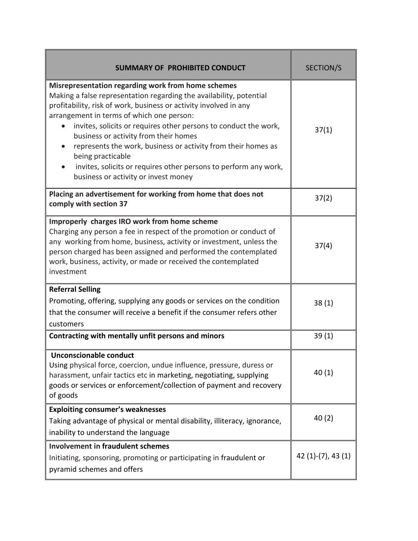| <b>SUMMARY OF PROHIBITED CONDUCT</b>                                                                                                                                                                                                                                                                                                                                                                                                                                                                                                                                           | SECTION/S          |
|--------------------------------------------------------------------------------------------------------------------------------------------------------------------------------------------------------------------------------------------------------------------------------------------------------------------------------------------------------------------------------------------------------------------------------------------------------------------------------------------------------------------------------------------------------------------------------|--------------------|
| <b>Misrepresentation regarding work from home schemes</b><br>Making a false representation regarding the availability, potential<br>profitability, risk of work, business or activity involved in any<br>arrangement in terms of which one person:<br>invites, solicits or requires other persons to conduct the work,<br>$\bullet$<br>business or activity from their homes<br>represents the work, business or activity from their homes as<br>being practicable<br>invites, solicits or requires other persons to perform any work,<br>business or activity or invest money | 37(1)              |
| Placing an advertisement for working from home that does not<br>comply with section 37                                                                                                                                                                                                                                                                                                                                                                                                                                                                                         | 37(2)              |
| Improperly charges IRO work from home scheme<br>Charging any person a fee in respect of the promotion or conduct of<br>any working from home, business, activity or investment, unless the<br>person charged has been assigned and performed the contemplated<br>work, business, activity, or made or received the contemplated<br>investment                                                                                                                                                                                                                                  | 37(4)              |
| <b>Referral Selling</b><br>Promoting, offering, supplying any goods or services on the condition<br>that the consumer will receive a benefit if the consumer refers other<br>customers                                                                                                                                                                                                                                                                                                                                                                                         | 38(1)              |
| Contracting with mentally unfit persons and minors                                                                                                                                                                                                                                                                                                                                                                                                                                                                                                                             | 39(1)              |
| Unconscionable conduct<br>Using physical force, coercion, undue influence, pressure, duress or<br>harassment, unfair tactics etc in marketing, negotiating, supplying<br>goods or services or enforcement/collection of payment and recovery<br>of goods                                                                                                                                                                                                                                                                                                                       | 40 (1)             |
| <b>Exploiting consumer's weaknesses</b><br>Taking advantage of physical or mental disability, illiteracy, ignorance,<br>inability to understand the language                                                                                                                                                                                                                                                                                                                                                                                                                   | 40(2)              |
| <b>Involvement in fraudulent schemes</b><br>Initiating, sponsoring, promoting or participating in fraudulent or<br>pyramid schemes and offers                                                                                                                                                                                                                                                                                                                                                                                                                                  | $42(1)-(7), 43(1)$ |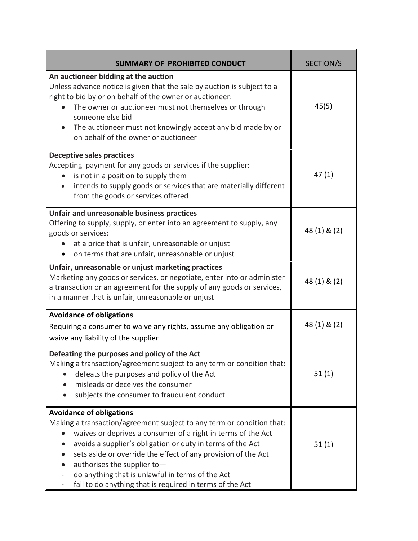| <b>SUMMARY OF PROHIBITED CONDUCT</b>                                                                                                                                                                                                                                                                                                                                                                                                                   | SECTION/S    |
|--------------------------------------------------------------------------------------------------------------------------------------------------------------------------------------------------------------------------------------------------------------------------------------------------------------------------------------------------------------------------------------------------------------------------------------------------------|--------------|
| An auctioneer bidding at the auction<br>Unless advance notice is given that the sale by auction is subject to a<br>right to bid by or on behalf of the owner or auctioneer:<br>The owner or auctioneer must not themselves or through<br>someone else bid<br>The auctioneer must not knowingly accept any bid made by or<br>on behalf of the owner or auctioneer                                                                                       | 45(5)        |
| <b>Deceptive sales practices</b><br>Accepting payment for any goods or services if the supplier:<br>is not in a position to supply them<br>intends to supply goods or services that are materially different<br>from the goods or services offered                                                                                                                                                                                                     | 47(1)        |
| Unfair and unreasonable business practices<br>Offering to supply, supply, or enter into an agreement to supply, any<br>goods or services:<br>at a price that is unfair, unreasonable or unjust<br>on terms that are unfair, unreasonable or unjust                                                                                                                                                                                                     | 48 (1) & (2) |
| Unfair, unreasonable or unjust marketing practices<br>Marketing any goods or services, or negotiate, enter into or administer<br>a transaction or an agreement for the supply of any goods or services,<br>in a manner that is unfair, unreasonable or unjust                                                                                                                                                                                          | 48 (1) & (2) |
| <b>Avoidance of obligations</b><br>Requiring a consumer to waive any rights, assume any obligation or<br>waive any liability of the supplier                                                                                                                                                                                                                                                                                                           | 48 (1) & (2) |
| Defeating the purposes and policy of the Act<br>Making a transaction/agreement subject to any term or condition that:<br>defeats the purposes and policy of the Act<br>misleads or deceives the consumer<br>subjects the consumer to fraudulent conduct                                                                                                                                                                                                | 51(1)        |
| <b>Avoidance of obligations</b><br>Making a transaction/agreement subject to any term or condition that:<br>waives or deprives a consumer of a right in terms of the Act<br>avoids a supplier's obligation or duty in terms of the Act<br>sets aside or override the effect of any provision of the Act<br>authorises the supplier to-<br>do anything that is unlawful in terms of the Act<br>fail to do anything that is required in terms of the Act | 51(1)        |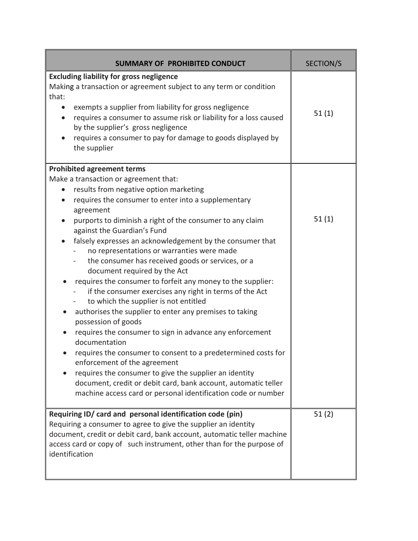| <b>SUMMARY OF PROHIBITED CONDUCT</b>                                                                                                                                                                                                                                                                                                                                                                                                                                                                                                                                                                                                                                                                                                                                                                                                                                                                                                                                                                                                                                                                                                                                                  | SECTION/S |
|---------------------------------------------------------------------------------------------------------------------------------------------------------------------------------------------------------------------------------------------------------------------------------------------------------------------------------------------------------------------------------------------------------------------------------------------------------------------------------------------------------------------------------------------------------------------------------------------------------------------------------------------------------------------------------------------------------------------------------------------------------------------------------------------------------------------------------------------------------------------------------------------------------------------------------------------------------------------------------------------------------------------------------------------------------------------------------------------------------------------------------------------------------------------------------------|-----------|
| <b>Excluding liability for gross negligence</b><br>Making a transaction or agreement subject to any term or condition<br>that:<br>exempts a supplier from liability for gross negligence<br>$\bullet$<br>requires a consumer to assume risk or liability for a loss caused<br>$\bullet$<br>by the supplier's gross negligence<br>requires a consumer to pay for damage to goods displayed by<br>the supplier                                                                                                                                                                                                                                                                                                                                                                                                                                                                                                                                                                                                                                                                                                                                                                          | 51(1)     |
| <b>Prohibited agreement terms</b><br>Make a transaction or agreement that:<br>results from negative option marketing<br>$\bullet$<br>requires the consumer to enter into a supplementary<br>$\bullet$<br>agreement<br>purports to diminish a right of the consumer to any claim<br>against the Guardian's Fund<br>falsely expresses an acknowledgement by the consumer that<br>no representations or warranties were made<br>the consumer has received goods or services, or a<br>document required by the Act<br>requires the consumer to forfeit any money to the supplier:<br>if the consumer exercises any right in terms of the Act<br>to which the supplier is not entitled<br>authorises the supplier to enter any premises to taking<br>$\bullet$<br>possession of goods<br>requires the consumer to sign in advance any enforcement<br>$\bullet$<br>documentation<br>requires the consumer to consent to a predetermined costs for<br>enforcement of the agreement<br>requires the consumer to give the supplier an identity<br>$\bullet$<br>document, credit or debit card, bank account, automatic teller<br>machine access card or personal identification code or number | 51(1)     |
| Requiring ID/ card and personal identification code (pin)<br>Requiring a consumer to agree to give the supplier an identity<br>document, credit or debit card, bank account, automatic teller machine<br>access card or copy of such instrument, other than for the purpose of<br>identification                                                                                                                                                                                                                                                                                                                                                                                                                                                                                                                                                                                                                                                                                                                                                                                                                                                                                      | 51(2)     |